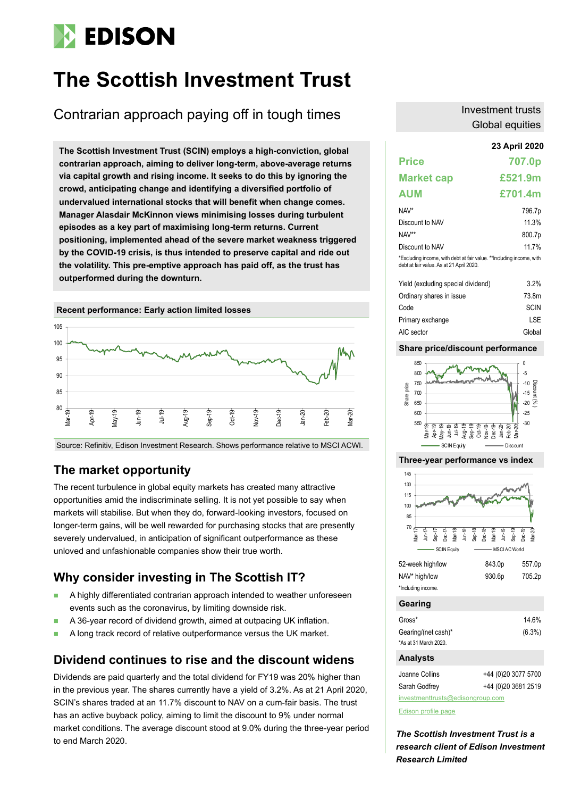# **EDISON**

## **The Scottish Investment Trust**

Contrarian approach paying off in tough times

**23 April 2020 The Scottish Investment Trust (SCIN) employs a high-conviction, global contrarian approach, aiming to deliver long-term, above-average returns via capital growth and rising income. It seeks to do this by ignoring the crowd, anticipating change and identifying a diversified portfolio of undervalued international stocks that will benefit when change comes. Manager Alasdair McKinnon views minimising losses during turbulent episodes as a key part of maximising long-term returns. Current positioning, implemented ahead of the severe market weakness triggered by the COVID-19 crisis, is thus intended to preserve capital and ride out the volatility. This pre-emptive approach has paid off, as the trust has outperformed during the downturn.**



Source: Refinitiv, Edison Investment Research. Shows performance relative to MSCI ACWI.

## **The market opportunity**

The recent turbulence in global equity markets has created many attractive opportunities amid the indiscriminate selling. It is not yet possible to say when markets will stabilise. But when they do, forward-looking investors, focused on longer-term gains, will be well rewarded for purchasing stocks that are presently severely undervalued, in anticipation of significant outperformance as these unloved and unfashionable companies show their true worth.

## **Why consider investing in The Scottish IT?**

- A highly differentiated contrarian approach intended to weather unforeseen events such as the coronavirus, by limiting downside risk.
- A 36-year record of dividend growth, aimed at outpacing UK inflation.
- A long track record of relative outperformance versus the UK market.

## **Dividend continues to rise and the discount widens**

Dividends are paid quarterly and the total dividend for FY19 was 20% higher than in the previous year. The shares currently have a yield of 3.2%. As at 21 April 2020, SCIN's shares traded at an 11.7% discount to NAV on a cum-fair basis. The trust has an active buyback policy, aiming to limit the discount to 9% under normal market conditions. The average discount stood at 9.0% during the three-year period to end March 2020.

## Investment trusts Global equities

| <b>Price</b>                                                                                                     | 707.0p  |
|------------------------------------------------------------------------------------------------------------------|---------|
| <b>Market cap</b>                                                                                                | £521.9m |
| AUM                                                                                                              | £701.4m |
| NAV*                                                                                                             | 796.7p  |
| Discount to NAV                                                                                                  | 11 3%   |
| NAV**                                                                                                            | 800.7p  |
| Discount to NAV                                                                                                  | 11.7%   |
| *Excluding income, with debt at fair value. **Including income, with<br>debt at fair value. As at 21 April 2020. |         |
| Viald (aveluding enacial dividand)                                                                               | 3 ว‱    |

| Yield (excluding special dividend) | $3.2\%$     |
|------------------------------------|-------------|
| Ordinary shares in issue           | 73.8m       |
| Code                               | <b>SCIN</b> |
| Primary exchange                   | LSE         |
| AIC sector                         | Global      |

### **Share price/discount performance**



#### **Three-year performance vs index**



| Joanne Collins | +44 (0)20 3077 5700 |
|----------------|---------------------|
| Sarah Godfrey  | +44 (0)20 3681 2519 |

[investmenttrusts@edisongroup.com](mailto:investmenttrusts@edisongroup.com)

[Edison profile page](https://www.edisongroup.com/company/the-scottish-investment-trust/2525/)

*The Scottish Investment Trust is a research client of Edison Investment Research Limited*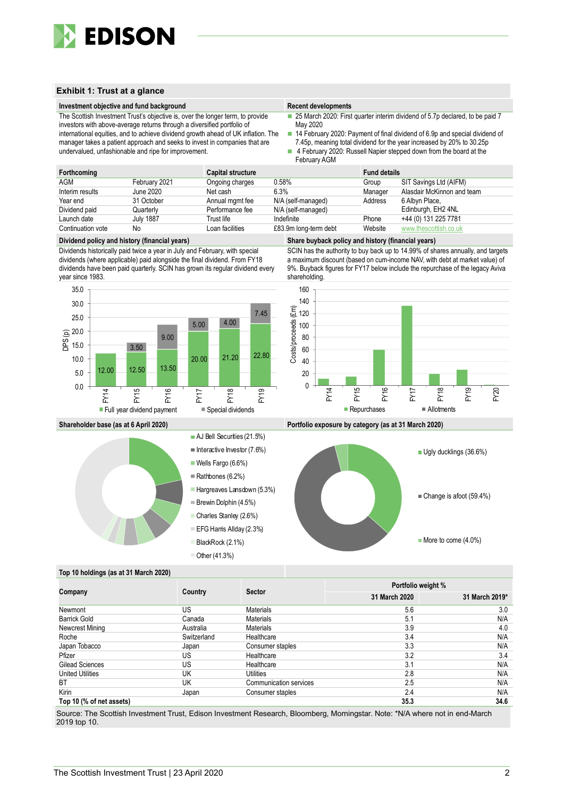

#### **Exhibit 1: Trust at a glance**

#### **Investment objective and fund background Recent developments Recent developments**

The Scottish Investment Trust's objective is, over the longer term, to provide

investors with above-average returns through a diversified portfolio of international equities, and to achieve dividend growth ahead of UK inflation. The manager takes a patient approach and seeks to invest in companies that are undervalued, unfashionable and ripe for improvement.

- 25 March 2020: First quarter interim dividend of 5.7p declared, to be paid 7 May 2020
- 14 February 2020: Payment of final dividend of 6.9p and special dividend of 7.45p, meaning total dividend for the year increased by 20% to 30.25p
- 4 February 2020: Russell Napier stepped down from the board at the February AGM

| Forthcoming       |                  | <b>Capital structure</b> |                       | <b>Fund details</b> |                            |
|-------------------|------------------|--------------------------|-----------------------|---------------------|----------------------------|
| <b>AGM</b>        | February 2021    | Ongoing charges          | $0.58\%$              | Group               | SIT Savings Ltd (AIFM)     |
| Interim results   | June 2020        | Net cash                 | 6.3%                  | Manager             | Alasdair McKinnon and team |
| Year end          | 31 October       | Annual mgmt fee          | N/A (self-managed)    | Address             | 6 Albyn Place,             |
| Dividend paid     | Quarterly        | Performance fee          | N/A (self-managed)    |                     | Edinburgh, EH2 4NL         |
| Launch date       | <b>July 1887</b> | Trust life               | Indefinite            | Phone               | +44 (0) 131 225 7781       |
| Continuation vote | No               | Loan facilities          | £83.9m long-term debt | Website             | www.thescottish.co.uk      |

#### **Dividend policy and history (financial years) Share buyback policy and history (financial years)**

Dividends historically paid twice a year in July and February, with special dividends (where applicable) paid alongside the final dividend. From FY18 dividends have been paid quarterly. SCIN has grown its regular dividend every year since 1983.



SCIN has the authority to buy back up to 14.99% of shares annually, and targets a maximum discount (based on cum-income NAV, with debt at market value) of 9%. Buyback figures for FY17 below include the repurchase of the legacy Aviva



**Shareholder base (as at 6 April 2020) Portfolio exposure by category (as at 31 March 2020)**





#### **Top 10 holdings (as at 31 March 2020)**

| Company                  |             |                        | Portfolio weight % |                |  |  |
|--------------------------|-------------|------------------------|--------------------|----------------|--|--|
|                          | Country     | <b>Sector</b>          | 31 March 2020      | 31 March 2019* |  |  |
| Newmont                  | US          | <b>Materials</b>       | 5.6                | 3.0            |  |  |
| Barrick Gold             | Canada      | Materials              | 5.1                | N/A            |  |  |
| Newcrest Mining          | Australia   | <b>Materials</b>       | 3.9                | 4.0            |  |  |
| Roche                    | Switzerland | Healthcare             | 3.4                | N/A            |  |  |
| Japan Tobacco            | Japan       | Consumer staples       | 3.3                | N/A            |  |  |
| Pfizer                   | US          | Healthcare             | 3.2                | 3.4            |  |  |
| Gilead Sciences          | US          | Healthcare             | 3.1                | N/A            |  |  |
| <b>United Utilities</b>  | UK          | <b>Utilities</b>       | 2.8                | N/A            |  |  |
| BT                       | UK          | Communication services | 2.5                | N/A            |  |  |
| Kirin                    | Japan       | Consumer staples       | 2.4                | N/A            |  |  |
| Tan 40/0/64 not constant |             |                        | 252                | 24C            |  |  |

#### **Top 10 (% of net assets) 35.3 34.6**

Source: The Scottish Investment Trust, Edison Investment Research, Bloomberg, Morningstar. Note: \*N/A where not in end-March 2019 top 10.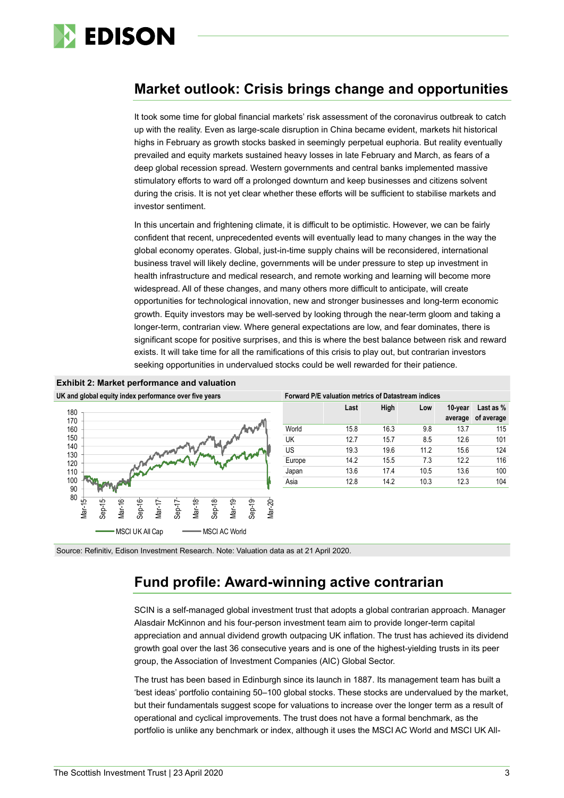

## **Market outlook: Crisis brings change and opportunities**

It took some time for global financial markets' risk assessment of the coronavirus outbreak to catch up with the reality. Even as large-scale disruption in China became evident, markets hit historical highs in February as growth stocks basked in seemingly perpetual euphoria. But reality eventually prevailed and equity markets sustained heavy losses in late February and March, as fears of a deep global recession spread. Western governments and central banks implemented massive stimulatory efforts to ward off a prolonged downturn and keep businesses and citizens solvent during the crisis. It is not yet clear whether these efforts will be sufficient to stabilise markets and investor sentiment.

In this uncertain and frightening climate, it is difficult to be optimistic. However, we can be fairly confident that recent, unprecedented events will eventually lead to many changes in the way the global economy operates. Global, just-in-time supply chains will be reconsidered, international business travel will likely decline, governments will be under pressure to step up investment in health infrastructure and medical research, and remote working and learning will become more widespread. All of these changes, and many others more difficult to anticipate, will create opportunities for technological innovation, new and stronger businesses and long-term economic growth. Equity investors may be well-served by looking through the near-term gloom and taking a longer-term, contrarian view. Where general expectations are low, and fear dominates, there is significant scope for positive surprises, and this is where the best balance between risk and reward exists. It will take time for all the ramifications of this crisis to play out, but contrarian investors seeking opportunities in undervalued stocks could be well rewarded for their patience.



Source: Refinitiv, Edison Investment Research. Note: Valuation data as at 21 April 2020.

## **Fund profile: Award-winning active contrarian**

SCIN is a self-managed global investment trust that adopts a global contrarian approach. Manager Alasdair McKinnon and his four-person investment team aim to provide longer-term capital appreciation and annual dividend growth outpacing UK inflation. The trust has achieved its dividend growth goal over the last 36 consecutive years and is one of the highest-yielding trusts in its peer group, the Association of Investment Companies (AIC) Global Sector.

The trust has been based in Edinburgh since its launch in 1887. Its management team has built a 'best ideas' portfolio containing 50–100 global stocks. These stocks are undervalued by the market, but their fundamentals suggest scope for valuations to increase over the longer term as a result of operational and cyclical improvements. The trust does not have a formal benchmark, as the portfolio is unlike any benchmark or index, although it uses the MSCI AC World and MSCI UK All-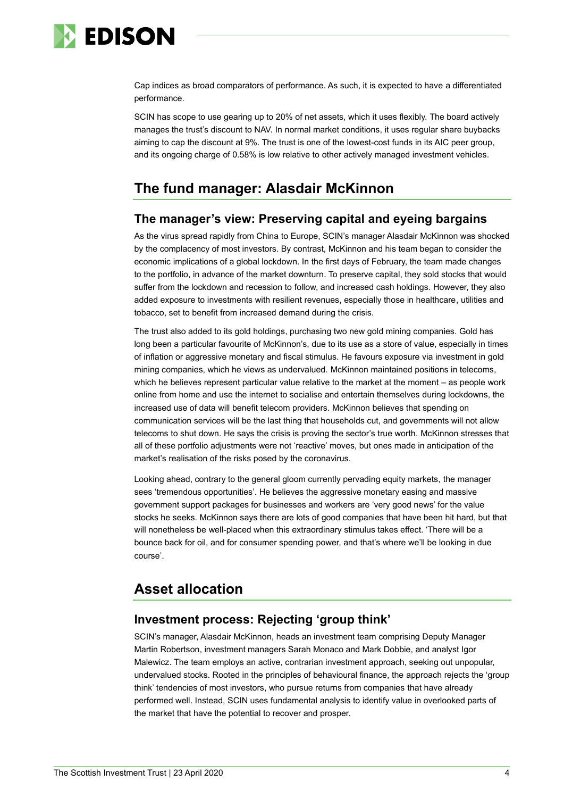

Cap indices as broad comparators of performance. As such, it is expected to have a differentiated performance.

SCIN has scope to use gearing up to 20% of net assets, which it uses flexibly. The board actively manages the trust's discount to NAV. In normal market conditions, it uses regular share buybacks aiming to cap the discount at 9%. The trust is one of the lowest-cost funds in its AIC peer group, and its ongoing charge of 0.58% is low relative to other actively managed investment vehicles.

## **The fund manager: Alasdair McKinnon**

## **The manager's view: Preserving capital and eyeing bargains**

As the virus spread rapidly from China to Europe, SCIN's manager Alasdair McKinnon was shocked by the complacency of most investors. By contrast, McKinnon and his team began to consider the economic implications of a global lockdown. In the first days of February, the team made changes to the portfolio, in advance of the market downturn. To preserve capital, they sold stocks that would suffer from the lockdown and recession to follow, and increased cash holdings. However, they also added exposure to investments with resilient revenues, especially those in healthcare, utilities and tobacco, set to benefit from increased demand during the crisis.

The trust also added to its gold holdings, purchasing two new gold mining companies. Gold has long been a particular favourite of McKinnon's, due to its use as a store of value, especially in times of inflation or aggressive monetary and fiscal stimulus. He favours exposure via investment in gold mining companies, which he views as undervalued. McKinnon maintained positions in telecoms, which he believes represent particular value relative to the market at the moment – as people work online from home and use the internet to socialise and entertain themselves during lockdowns, the increased use of data will benefit telecom providers. McKinnon believes that spending on communication services will be the last thing that households cut, and governments will not allow telecoms to shut down. He says the crisis is proving the sector's true worth. McKinnon stresses that all of these portfolio adjustments were not 'reactive' moves, but ones made in anticipation of the market's realisation of the risks posed by the coronavirus.

Looking ahead, contrary to the general gloom currently pervading equity markets, the manager sees 'tremendous opportunities'. He believes the aggressive monetary easing and massive government support packages for businesses and workers are 'very good news' for the value stocks he seeks. McKinnon says there are lots of good companies that have been hit hard, but that will nonetheless be well-placed when this extraordinary stimulus takes effect. 'There will be a bounce back for oil, and for consumer spending power, and that's where we'll be looking in due course'.

## **Asset allocation**

## **Investment process: Rejecting 'group think'**

SCIN's manager, Alasdair McKinnon, heads an investment team comprising Deputy Manager Martin Robertson, investment managers Sarah Monaco and Mark Dobbie, and analyst Igor Malewicz. The team employs an active, contrarian investment approach, seeking out unpopular, undervalued stocks. Rooted in the principles of behavioural finance, the approach rejects the 'group think' tendencies of most investors, who pursue returns from companies that have already performed well. Instead, SCIN uses fundamental analysis to identify value in overlooked parts of the market that have the potential to recover and prosper.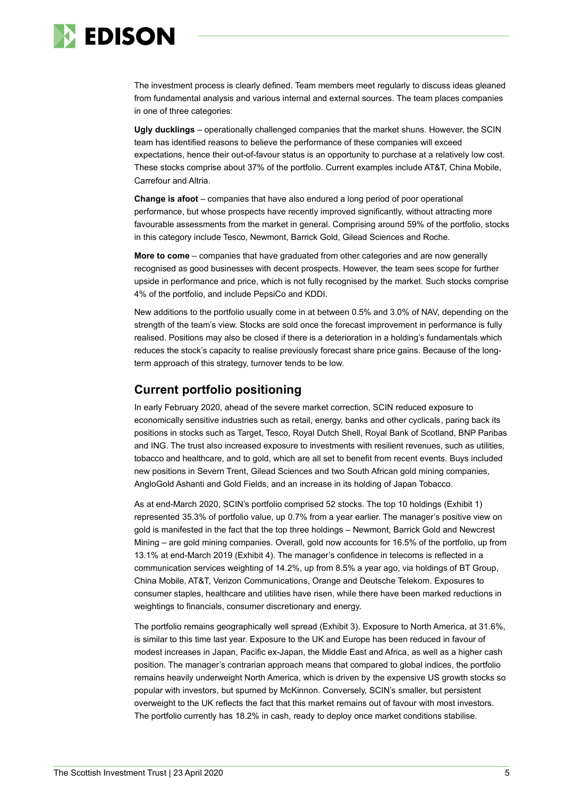

The investment process is clearly defined. Team members meet regularly to discuss ideas gleaned from fundamental analysis and various internal and external sources. The team places companies in one of three categories:

**Ugly ducklings** – operationally challenged companies that the market shuns. However, the SCIN team has identified reasons to believe the performance of these companies will exceed expectations, hence their out-of-favour status is an opportunity to purchase at a relatively low cost. These stocks comprise about 37% of the portfolio. Current examples include AT&T, China Mobile, Carrefour and Altria.

**Change is afoot** – companies that have also endured a long period of poor operational performance, but whose prospects have recently improved significantly, without attracting more favourable assessments from the market in general. Comprising around 59% of the portfolio, stocks in this category include Tesco, Newmont, Barrick Gold, Gilead Sciences and Roche.

**More to come** – companies that have graduated from other categories and are now generally recognised as good businesses with decent prospects. However, the team sees scope for further upside in performance and price, which is not fully recognised by the market. Such stocks comprise 4% of the portfolio, and include PepsiCo and KDDI.

New additions to the portfolio usually come in at between 0.5% and 3.0% of NAV, depending on the strength of the team's view. Stocks are sold once the forecast improvement in performance is fully realised. Positions may also be closed if there is a deterioration in a holding's fundamentals which reduces the stock's capacity to realise previously forecast share price gains. Because of the longterm approach of this strategy, turnover tends to be low.

## **Current portfolio positioning**

In early February 2020, ahead of the severe market correction, SCIN reduced exposure to economically sensitive industries such as retail, energy, banks and other cyclicals, paring back its positions in stocks such as Target, Tesco, Royal Dutch Shell, Royal Bank of Scotland, BNP Paribas and ING. The trust also increased exposure to investments with resilient revenues, such as utilities, tobacco and healthcare, and to gold, which are all set to benefit from recent events. Buys included new positions in Severn Trent, Gilead Sciences and two South African gold mining companies, AngloGold Ashanti and Gold Fields, and an increase in its holding of Japan Tobacco.

As at end-March 2020, SCIN's portfolio comprised 52 stocks. The top 10 holdings (Exhibit 1) represented 35.3% of portfolio value, up 0.7% from a year earlier. The manager's positive view on gold is manifested in the fact that the top three holdings – Newmont, Barrick Gold and Newcrest Mining – are gold mining companies. Overall, gold now accounts for 16.5% of the portfolio, up from 13.1% at end-March 2019 (Exhibit 4). The manager's confidence in telecoms is reflected in a communication services weighting of 14.2%, up from 8.5% a year ago, via holdings of BT Group, China Mobile, AT&T, Verizon Communications, Orange and Deutsche Telekom. Exposures to consumer staples, healthcare and utilities have risen, while there have been marked reductions in weightings to financials, consumer discretionary and energy.

The portfolio remains geographically well spread (Exhibit 3). Exposure to North America, at 31.6%, is similar to this time last year. Exposure to the UK and Europe has been reduced in favour of modest increases in Japan, Pacific ex-Japan, the Middle East and Africa, as well as a higher cash position. The manager's contrarian approach means that compared to global indices, the portfolio remains heavily underweight North America, which is driven by the expensive US growth stocks so popular with investors, but spurned by McKinnon. Conversely, SCIN's smaller, but persistent overweight to the UK reflects the fact that this market remains out of favour with most investors. The portfolio currently has 18.2% in cash, ready to deploy once market conditions stabilise.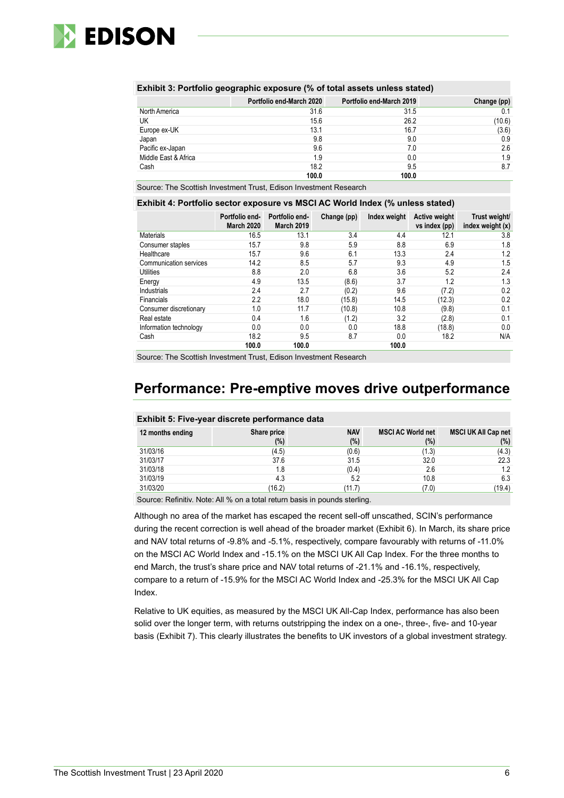

|                      | Portfolio end-March 2020 | Portfolio end-March 2019 | Change (pp) |
|----------------------|--------------------------|--------------------------|-------------|
| North America        | 31.6                     | 31.5                     | 0.1         |
| UK                   | 15.6                     | 26.2                     | (10.6)      |
| Europe ex-UK         | 13.1                     | 16.7                     | (3.6)       |
| Japan                | 9.8                      | 9.0                      | 0.9         |
| Pacific ex-Japan     | 9.6                      | 7.0                      | 2.6         |
| Middle East & Africa | 1.9                      | 0.0                      | 1.9         |
| Cash                 | 18.2                     | 9.5                      | 8.7         |
|                      | 100.0                    | 100.0                    |             |

Source: The Scottish Investment Trust, Edison Investment Research

### **Exhibit 4: Portfolio sector exposure vs MSCI AC World Index (% unless stated)**

|                        | Portfolio end-<br><b>March 2020</b> | Portfolio end-<br><b>March 2019</b> | Change (pp) | Index weight | <b>Active weight</b><br>vs index (pp) | Trust weight/<br>index weight (x) |
|------------------------|-------------------------------------|-------------------------------------|-------------|--------------|---------------------------------------|-----------------------------------|
| Materials              | 16.5                                | 13.1                                | 3.4         | 4.4          | 12.1                                  | 3.8                               |
| Consumer staples       | 15.7                                | 9.8                                 | 5.9         | 8.8          | 6.9                                   | 1.8                               |
| Healthcare             | 15.7                                | 9.6                                 | 6.1         | 13.3         | 2.4                                   | 1.2                               |
| Communication services | 14.2                                | 8.5                                 | 5.7         | 9.3          | 4.9                                   | 1.5                               |
| <b>Utilities</b>       | 8.8                                 | 2.0                                 | 6.8         | 3.6          | 5.2                                   | 2.4                               |
| Energy                 | 4.9                                 | 13.5                                | (8.6)       | 3.7          | 1.2                                   | 1.3                               |
| Industrials            | 2.4                                 | 2.7                                 | (0.2)       | 9.6          | (7.2)                                 | 0.2                               |
| Financials             | 2.2                                 | 18.0                                | (15.8)      | 14.5         | (12.3)                                | 0.2                               |
| Consumer discretionary | 1.0                                 | 11.7                                | (10.8)      | 10.8         | (9.8)                                 | 0.1                               |
| Real estate            | 0.4                                 | 1.6                                 | (1.2)       | 3.2          | (2.8)                                 | 0.1                               |
| Information technology | 0.0                                 | 0.0                                 | 0.0         | 18.8         | (18.8)                                | 0.0                               |
| Cash                   | 18.2                                | 9.5                                 | 8.7         | 0.0          | 18.2                                  | N/A                               |
|                        | 100.0                               | 100.0                               |             | 100.0        |                                       |                                   |

Source: The Scottish Investment Trust, Edison Investment Research

## **Performance: Pre-emptive moves drive outperformance**

|                  | EXIMPLE 3. FIVE-year discrete performance data |                   |                                    |                                   |
|------------------|------------------------------------------------|-------------------|------------------------------------|-----------------------------------|
| 12 months ending | Share price<br>$(\%)$                          | <b>NAV</b><br>(%) | <b>MSCI AC World net</b><br>$(\%)$ | <b>MSCI UK All Cap net</b><br>(%) |
| 31/03/16         | (4.5)                                          | (0.6)             | (1.3)                              | (4.3)                             |
| 31/03/17         | 37.6                                           | 31.5              | 32.0                               | 22.3                              |
| 31/03/18         | 1.8                                            | (0.4)             | 2.6                                | 1.2                               |
| 31/03/19         | 4.3                                            | 5.2               | 10.8                               | 6.3                               |
| 31/03/20         | (16.2)                                         | (11.7)            | (7.0)                              | (19.4)                            |

### **Exhibit 5: Five-year discrete performance data**

Source: Refinitiv. Note: All % on a total return basis in pounds sterling.

Although no area of the market has escaped the recent sell-off unscathed, SCIN's performance during the recent correction is well ahead of the broader market (Exhibit 6). In March, its share price and NAV total returns of -9.8% and -5.1%, respectively, compare favourably with returns of -11.0% on the MSCI AC World Index and -15.1% on the MSCI UK All Cap Index. For the three months to end March, the trust's share price and NAV total returns of -21.1% and -16.1%, respectively, compare to a return of -15.9% for the MSCI AC World Index and -25.3% for the MSCI UK All Cap Index.

Relative to UK equities, as measured by the MSCI UK All-Cap Index, performance has also been solid over the longer term, with returns outstripping the index on a one-, three-, five- and 10-year basis (Exhibit 7). This clearly illustrates the benefits to UK investors of a global investment strategy.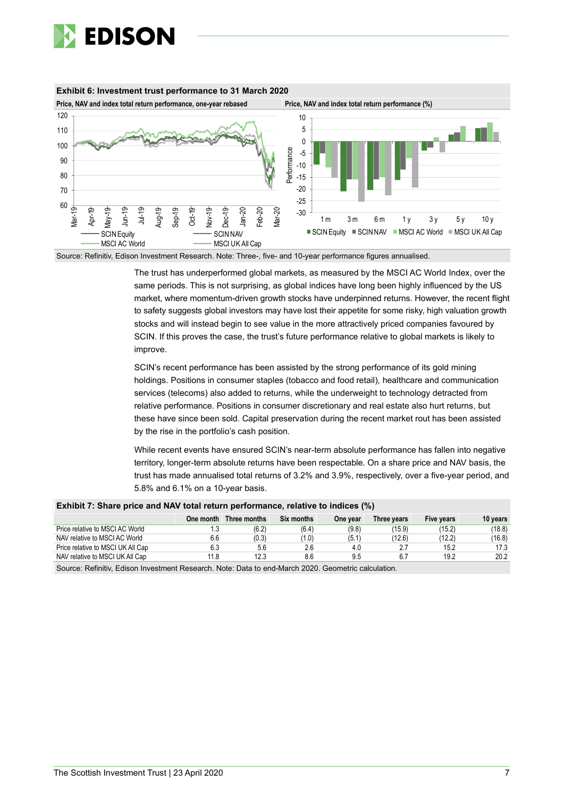





Source: Refinitiv, Edison Investment Research. Note: Three-, five- and 10-year performance figures annualised.

The trust has underperformed global markets, as measured by the MSCI AC World Index, over the same periods. This is not surprising, as global indices have long been highly influenced by the US market, where momentum-driven growth stocks have underpinned returns. However, the recent flight to safety suggests global investors may have lost their appetite for some risky, high valuation growth stocks and will instead begin to see value in the more attractively priced companies favoured by SCIN. If this proves the case, the trust's future performance relative to global markets is likely to improve.

SCIN's recent performance has been assisted by the strong performance of its gold mining holdings. Positions in consumer staples (tobacco and food retail), healthcare and communication services (telecoms) also added to returns, while the underweight to technology detracted from relative performance. Positions in consumer discretionary and real estate also hurt returns, but these have since been sold. Capital preservation during the recent market rout has been assisted by the rise in the portfolio's cash position.

While recent events have ensured SCIN's near-term absolute performance has fallen into negative territory, longer-term absolute returns have been respectable. On a share price and NAV basis, the trust has made annualised total returns of 3.2% and 3.9%, respectively, over a five-year period, and 5.8% and 6.1% on a 10-year basis.

| EXIMPLE IS ON A PHOTO AND NOT TO AN INTERNATIONAL PROTECTIVE IN THE CONTROL OF THE CONTROL OF THE CONTROL OF T |           |              |            |          |             |            |          |  |  |
|----------------------------------------------------------------------------------------------------------------|-----------|--------------|------------|----------|-------------|------------|----------|--|--|
|                                                                                                                | One month | Three months | Six months | One year | Three vears | Five years | 10 vears |  |  |
| Price relative to MSCI AC World                                                                                | ن.        | (6.2)        | (6.4)      | (9.8)    | (15.9)      | (15.2)     | (18.8)   |  |  |
| NAV relative to MSCI AC World                                                                                  | 6.6       | (0.3)        | (1.0)      | (5.1)    | (12.6)      | (12.2)     | (16.8)   |  |  |
| Price relative to MSCI UK All Cap                                                                              | 6.3       | 5.6          | 2.6        | 4.0      |             | 15.2       | 17.3     |  |  |
| NAV relative to MSCI UK All Cap                                                                                | 11.8      | 12.3         | 8.6        | 9.5      |             | 19.2       | 20.2     |  |  |

#### **Exhibit 7: Share price and NAV total return performance, relative to indices (%)**

Source: Refinitiv, Edison Investment Research. Note: Data to end-March 2020. Geometric calculation.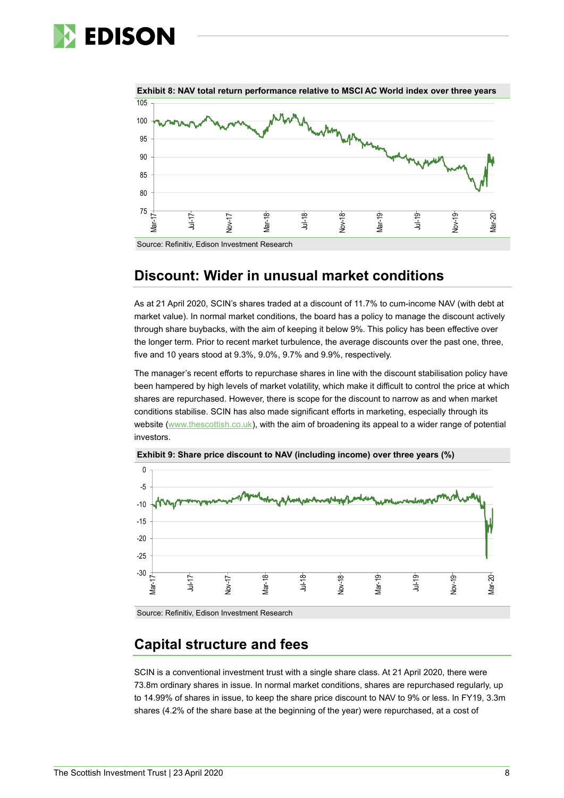# **EDISON**



#### Source: Refinitiv, Edison Investment Research

## **Discount: Wider in unusual market conditions**

As at 21 April 2020, SCIN's shares traded at a discount of 11.7% to cum-income NAV (with debt at market value). In normal market conditions, the board has a policy to manage the discount actively through share buybacks, with the aim of keeping it below 9%. This policy has been effective over the longer term. Prior to recent market turbulence, the average discounts over the past one, three, five and 10 years stood at 9.3%, 9.0%, 9.7% and 9.9%, respectively.

The manager's recent efforts to repurchase shares in line with the discount stabilisation policy have been hampered by high levels of market volatility, which make it difficult to control the price at which shares are repurchased. However, there is scope for the discount to narrow as and when market conditions stabilise. SCIN has also made significant efforts in marketing, especially through its website [\(www.thescottish.co.uk\)](http://www.thescottish.co.uk/), with the aim of broadening its appeal to a wider range of potential investors.





Source: Refinitiv, Edison Investment Research

## **Capital structure and fees**

SCIN is a conventional investment trust with a single share class. At 21 April 2020, there were 73.8m ordinary shares in issue. In normal market conditions, shares are repurchased regularly, up to 14.99% of shares in issue, to keep the share price discount to NAV to 9% or less. In FY19, 3.3m shares (4.2% of the share base at the beginning of the year) were repurchased, at a cost of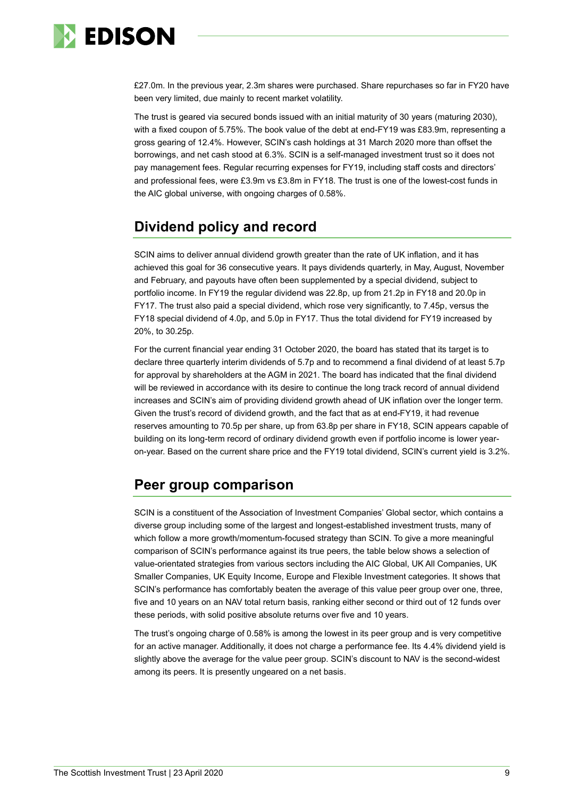

£27.0m. In the previous year, 2.3m shares were purchased. Share repurchases so far in FY20 have been very limited, due mainly to recent market volatility.

The trust is geared via secured bonds issued with an initial maturity of 30 years (maturing 2030), with a fixed coupon of 5.75%. The book value of the debt at end-FY19 was £83.9m, representing a gross gearing of 12.4%. However, SCIN's cash holdings at 31 March 2020 more than offset the borrowings, and net cash stood at 6.3%. SCIN is a self-managed investment trust so it does not pay management fees. Regular recurring expenses for FY19, including staff costs and directors' and professional fees, were £3.9m vs £3.8m in FY18. The trust is one of the lowest-cost funds in the AIC global universe, with ongoing charges of 0.58%.

## **Dividend policy and record**

SCIN aims to deliver annual dividend growth greater than the rate of UK inflation, and it has achieved this goal for 36 consecutive years. It pays dividends quarterly, in May, August, November and February, and payouts have often been supplemented by a special dividend, subject to portfolio income. In FY19 the regular dividend was 22.8p, up from 21.2p in FY18 and 20.0p in FY17. The trust also paid a special dividend, which rose very significantly, to 7.45p, versus the FY18 special dividend of 4.0p, and 5.0p in FY17. Thus the total dividend for FY19 increased by 20%, to 30.25p.

For the current financial year ending 31 October 2020, the board has stated that its target is to declare three quarterly interim dividends of 5.7p and to recommend a final dividend of at least 5.7p for approval by shareholders at the AGM in 2021. The board has indicated that the final dividend will be reviewed in accordance with its desire to continue the long track record of annual dividend increases and SCIN's aim of providing dividend growth ahead of UK inflation over the longer term. Given the trust's record of dividend growth, and the fact that as at end-FY19, it had revenue reserves amounting to 70.5p per share, up from 63.8p per share in FY18, SCIN appears capable of building on its long-term record of ordinary dividend growth even if portfolio income is lower yearon-year. Based on the current share price and the FY19 total dividend, SCIN's current yield is 3.2%.

## **Peer group comparison**

SCIN is a constituent of the Association of Investment Companies' Global sector, which contains a diverse group including some of the largest and longest-established investment trusts, many of which follow a more growth/momentum-focused strategy than SCIN. To give a more meaningful comparison of SCIN's performance against its true peers, the table below shows a selection of value-orientated strategies from various sectors including the AIC Global, UK All Companies, UK Smaller Companies, UK Equity Income, Europe and Flexible Investment categories. It shows that SCIN's performance has comfortably beaten the average of this value peer group over one, three, five and 10 years on an NAV total return basis, ranking either second or third out of 12 funds over these periods, with solid positive absolute returns over five and 10 years.

The trust's ongoing charge of 0.58% is among the lowest in its peer group and is very competitive for an active manager. Additionally, it does not charge a performance fee. Its 4.4% dividend yield is slightly above the average for the value peer group. SCIN's discount to NAV is the second-widest among its peers. It is presently ungeared on a net basis.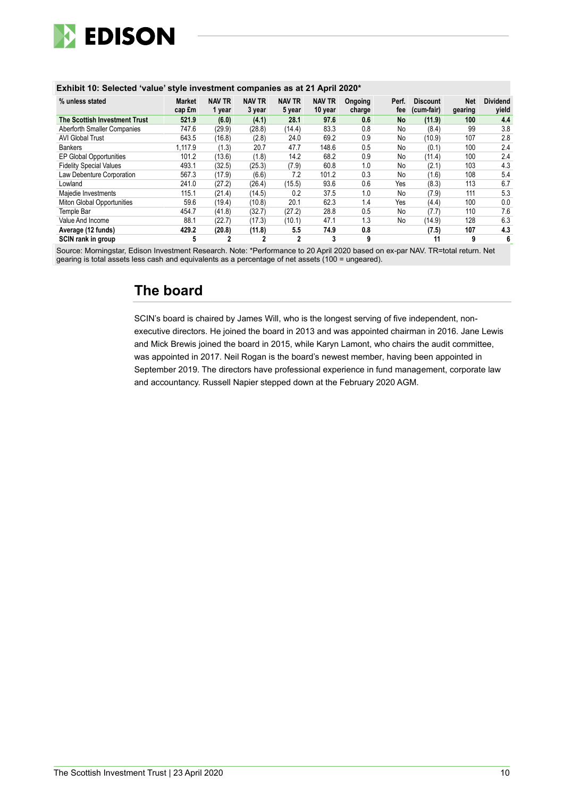

### **Exhibit 10: Selected 'value' style investment companies as at 21 April 2020\***

| % unless stated                | <b>Market</b><br>cap £m | <b>NAV TR</b><br>1 year | <b>NAV TR</b><br>3 year | <b>NAV TR</b><br>5 year | <b>NAV TR</b><br>10 year | Ongoing<br>charge | Perf.<br>fee | <b>Discount</b><br>(cum-fair) | <b>Net</b><br>gearing | <b>Dividend</b><br>vield |
|--------------------------------|-------------------------|-------------------------|-------------------------|-------------------------|--------------------------|-------------------|--------------|-------------------------------|-----------------------|--------------------------|
| The Scottish Investment Trust  | 521.9                   | (6.0)                   | (4.1)                   | 28.1                    | 97.6                     | 0.6               | No           | (11.9)                        | 100                   | 4.4                      |
| Aberforth Smaller Companies    | 747.6                   | (29.9)                  | (28.8)                  | (14.4)                  | 83.3                     | 0.8               | No           | (8.4)                         | 99                    | 3.8                      |
| <b>AVI Global Trust</b>        | 643.5                   | (16.8)                  | (2.8)                   | 24.0                    | 69.2                     | 0.9               | No           | (10.9)                        | 107                   | 2.8                      |
| <b>Bankers</b>                 | 1.117.9                 | (1.3)                   | 20.7                    | 47.7                    | 148.6                    | 0.5               | No           | (0.1)                         | 100                   | 2.4                      |
| EP Global Opportunities        | 101.2                   | (13.6)                  | (1.8)                   | 14.2                    | 68.2                     | 0.9               | No           | (11.4)                        | 100                   | 2.4                      |
| <b>Fidelity Special Values</b> | 493.1                   | (32.5)                  | (25.3)                  | (7.9)                   | 60.8                     | 1.0               | No           | (2.1)                         | 103                   | 4.3                      |
| Law Debenture Corporation      | 567.3                   | (17.9)                  | (6.6)                   | 7.2                     | 101.2                    | 0.3               | No           | (1.6)                         | 108                   | 5.4                      |
| Lowland                        | 241.0                   | (27.2)                  | (26.4)                  | (15.5)                  | 93.6                     | 0.6               | Yes          | (8.3)                         | 113                   | 6.7                      |
| Majedie Investments            | 115.1                   | (21.4)                  | (14.5)                  | 0.2                     | 37.5                     | 1.0               | No           | (7.9)                         | 111                   | 5.3                      |
| Miton Global Opportunities     | 59.6                    | (19.4)                  | (10.8)                  | 20.1                    | 62.3                     | 1.4               | Yes          | (4.4)                         | 100                   | 0.0                      |
| Temple Bar                     | 454.7                   | (41.8)                  | (32.7)                  | (27.2)                  | 28.8                     | 0.5               | No           | (7.7)                         | 110                   | 7.6                      |
| Value And Income               | 88.1                    | (22.7)                  | (17.3)                  | (10.1)                  | 47.1                     | 1.3               | No           | (14.9)                        | 128                   | 6.3                      |
| Average (12 funds)             | 429.2                   | (20.8)                  | (11.8)                  | 5.5                     | 74.9                     | 0.8               |              | (7.5)                         | 107                   | 4.3                      |
| SCIN rank in group             | 5                       | 2                       | 2                       | 2                       | 3                        | 9                 |              | 11                            | 9                     | 6                        |

Source: Morningstar, Edison Investment Research. Note: \*Performance to 20 April 2020 based on ex-par NAV. TR=total return. Net gearing is total assets less cash and equivalents as a percentage of net assets (100 = ungeared).

## **The board**

SCIN's board is chaired by James Will, who is the longest serving of five independent, nonexecutive directors. He joined the board in 2013 and was appointed chairman in 2016. Jane Lewis and Mick Brewis joined the board in 2015, while Karyn Lamont, who chairs the audit committee, was appointed in 2017. Neil Rogan is the board's newest member, having been appointed in September 2019. The directors have professional experience in fund management, corporate law and accountancy. Russell Napier stepped down at the February 2020 AGM.